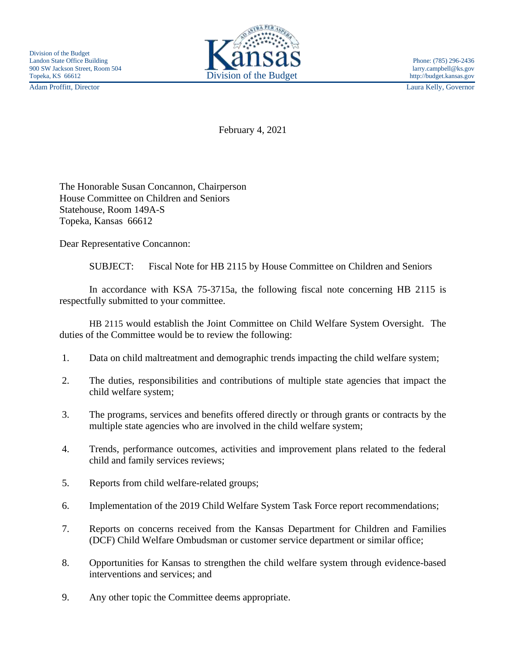Adam Proffitt, Director Laura Kelly, Governor



February 4, 2021

The Honorable Susan Concannon, Chairperson House Committee on Children and Seniors Statehouse, Room 149A-S Topeka, Kansas 66612

Dear Representative Concannon:

SUBJECT: Fiscal Note for HB 2115 by House Committee on Children and Seniors

In accordance with KSA 75-3715a, the following fiscal note concerning HB 2115 is respectfully submitted to your committee.

HB 2115 would establish the Joint Committee on Child Welfare System Oversight. The duties of the Committee would be to review the following:

- 1. Data on child maltreatment and demographic trends impacting the child welfare system;
- 2. The duties, responsibilities and contributions of multiple state agencies that impact the child welfare system;
- 3. The programs, services and benefits offered directly or through grants or contracts by the multiple state agencies who are involved in the child welfare system;
- 4. Trends, performance outcomes, activities and improvement plans related to the federal child and family services reviews;
- 5. Reports from child welfare-related groups;
- 6. Implementation of the 2019 Child Welfare System Task Force report recommendations;
- 7. Reports on concerns received from the Kansas Department for Children and Families (DCF) Child Welfare Ombudsman or customer service department or similar office;
- 8. Opportunities for Kansas to strengthen the child welfare system through evidence-based interventions and services; and
- 9. Any other topic the Committee deems appropriate.